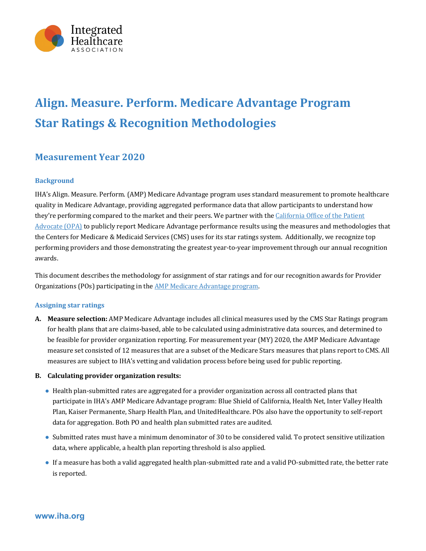

# **Align. Measure. Perform. Medicare Advantage Program Star Ratings & Recognition Methodologies**

### **Measurement Year 2020**

#### **Background**

IHA's Align. Measure. Perform. (AMP) Medicare Advantage program uses standard measurement to promote healthcare quality in Medicare Advantage, providing aggregated performance data that allow participants to understand how they're performing compared to the market and their peers. We partner with the California Office of the Patient Advocate (OPA) to publicly report Medicare Advantage performance results using the measures and methodologies that the Centers for Medicare & Medicaid Services (CMS) uses for its star ratings system. Additionally, we recognize top performing providers and those demonstrating the greatest year-to-year improvement through our annual recognition awards. 

This document describes the methodology for assignment of star ratings and for our recognition awards for Provider Organizations (POs) participating in the **AMP** Medicare Advantage program.

#### **Assigning star ratings**

**A.** Measure selection: AMP Medicare Advantage includes all clinical measures used by the CMS Star Ratings program for health plans that are claims-based, able to be calculated using administrative data sources, and determined to be feasible for provider organization reporting. For measurement year (MY) 2020, the AMP Medicare Advantage measure set consisted of 12 measures that are a subset of the Medicare Stars measures that plans report to CMS. All measures are subject to IHA's vetting and validation process before being used for public reporting.

#### **B.** Calculating provider organization results:

- Health plan-submitted rates are aggregated for a provider organization across all contracted plans that participate in IHA's AMP Medicare Advantage program: Blue Shield of California, Health Net, Inter Valley Health Plan, Kaiser Permanente, Sharp Health Plan, and UnitedHealthcare. POs also have the opportunity to self-report data for aggregation. Both PO and health plan submitted rates are audited.
- Submitted rates must have a minimum denominator of 30 to be considered valid. To protect sensitive utilization data, where applicable, a health plan reporting threshold is also applied.
- If a measure has both a valid aggregated health plan-submitted rate and a valid PO-submitted rate, the better rate is reported.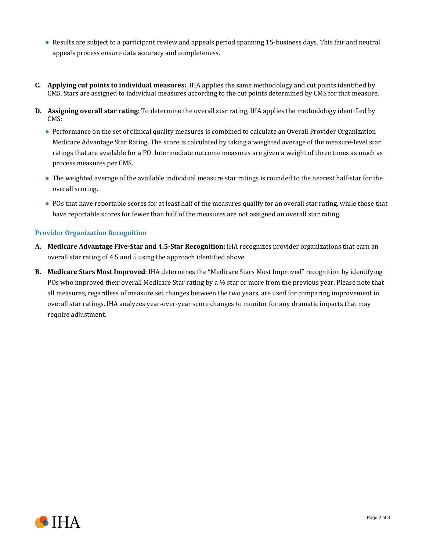- Results are subject to a participant review and appeals period spanning 15-business days. This fair and neutral appeals process ensure data accuracy and completeness.
- **C.** Applying cut points to individual measures: IHA applies the same methodology and cut points identified by CMS. Stars are assigned to individual measures according to the cut points determined by CMS for that measure.
- **D.** Assigning overall star rating: To determine the overall star rating, IHA applies the methodology identified by CMS:
	- Performance on the set of clinical quality measures is combined to calculate an Overall Provider Organization Medicare Advantage Star Rating. The score is calculated by taking a weighted average of the measure-level star ratings that are available for a PO. Intermediate outcome measures are given a weight of three times as much as process measures per CMS.
	- The weighted average of the available individual measure star ratings is rounded to the nearest half-star for the overall scoring.
	- POs that have reportable scores for at least half of the measures qualify for an overall star rating, while those that have reportable scores for fewer than half of the measures are not assigned an overall star rating.

#### **Provider Organization Recognition**

- **A.** Medicare Advantage Five-Star and 4.5-Star Recognition: IHA recognizes provider organizations that earn an overall star rating of 4.5 and 5 using the approach identified above.
- **B.** Medicare Stars Most Improved: IHA determines the "Medicare Stars Most Improved" recognition by identifying POs who improved their overall Medicare Star rating by a  $\frac{1}{2}$  star or more from the previous year. Please note that all measures, regardless of measure set changes between the two years, are used for comparing improvement in overall star ratings. IHA analyzes year-over-year score changes to monitor for any dramatic impacts that may require adjustment.